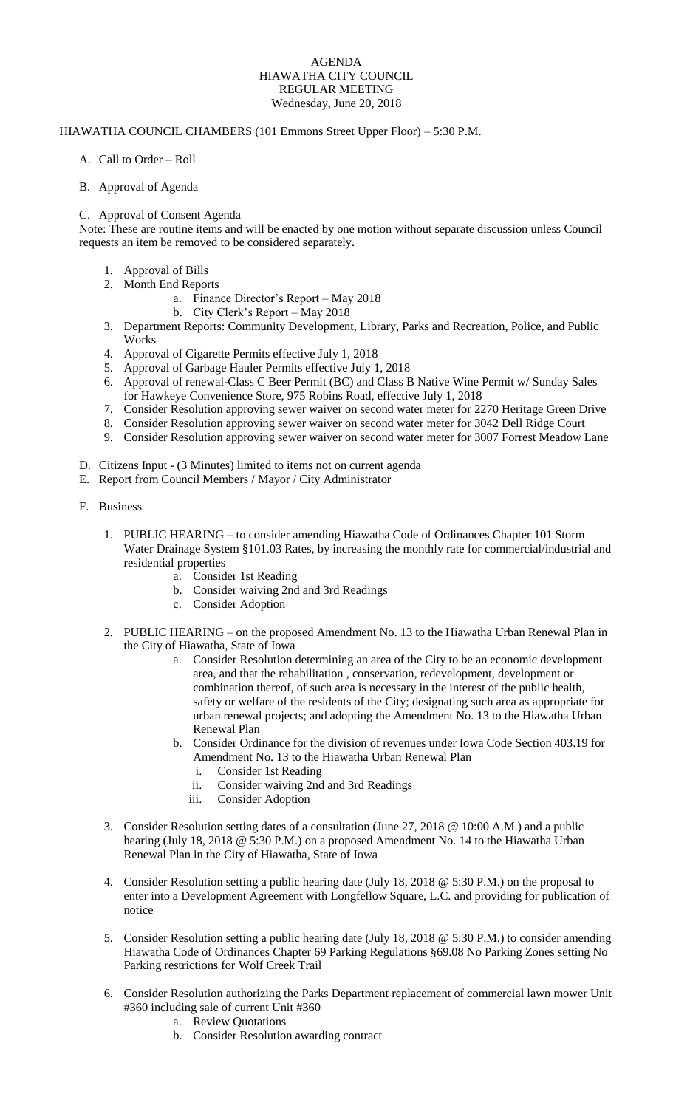## AGENDA HIAWATHA CITY COUNCIL REGULAR MEETING Wednesday, June 20, 2018

## HIAWATHA COUNCIL CHAMBERS (101 Emmons Street Upper Floor) – 5:30 P.M.

A. Call to Order – Roll

## B. Approval of Agenda

## C. Approval of Consent Agenda

Note: These are routine items and will be enacted by one motion without separate discussion unless Council requests an item be removed to be considered separately.

- 1. Approval of Bills
- 2. Month End Reports
	- a. Finance Director's Report May 2018
	- b. City Clerk's Report May 2018
- 3. Department Reports: Community Development, Library, Parks and Recreation, Police, and Public Works
- 4. Approval of Cigarette Permits effective July 1, 2018
- 5. Approval of Garbage Hauler Permits effective July 1, 2018
- 6. Approval of renewal-Class C Beer Permit (BC) and Class B Native Wine Permit w/ Sunday Sales for Hawkeye Convenience Store, 975 Robins Road, effective July 1, 2018
- 7. Consider Resolution approving sewer waiver on second water meter for 2270 Heritage Green Drive
- 8. Consider Resolution approving sewer waiver on second water meter for 3042 Dell Ridge Court
- 9. Consider Resolution approving sewer waiver on second water meter for 3007 Forrest Meadow Lane
- D. Citizens Input (3 Minutes) limited to items not on current agenda
- E. Report from Council Members / Mayor / City Administrator
- F. Business
	- 1. PUBLIC HEARING to consider amending Hiawatha Code of Ordinances Chapter 101 Storm Water Drainage System §101.03 Rates, by increasing the monthly rate for commercial/industrial and residential properties
		- a. Consider 1st Reading
		- b. Consider waiving 2nd and 3rd Readings
		- c. Consider Adoption
	- 2. PUBLIC HEARING on the proposed Amendment No. 13 to the Hiawatha Urban Renewal Plan in the City of Hiawatha, State of Iowa
		- a. Consider Resolution determining an area of the City to be an economic development area, and that the rehabilitation , conservation, redevelopment, development or combination thereof, of such area is necessary in the interest of the public health, safety or welfare of the residents of the City; designating such area as appropriate for urban renewal projects; and adopting the Amendment No. 13 to the Hiawatha Urban Renewal Plan
		- b. Consider Ordinance for the division of revenues under Iowa Code Section 403.19 for Amendment No. 13 to the Hiawatha Urban Renewal Plan
			- i. Consider 1st Reading
			- ii. Consider waiving 2nd and 3rd Readings
			- iii. Consider Adoption
	- 3. Consider Resolution setting dates of a consultation (June 27, 2018 @ 10:00 A.M.) and a public hearing (July 18, 2018 @ 5:30 P.M.) on a proposed Amendment No. 14 to the Hiawatha Urban Renewal Plan in the City of Hiawatha, State of Iowa
	- 4. Consider Resolution setting a public hearing date (July 18, 2018 @ 5:30 P.M.) on the proposal to enter into a Development Agreement with Longfellow Square, L.C. and providing for publication of notice
	- 5. Consider Resolution setting a public hearing date (July 18, 2018 @ 5:30 P.M.) to consider amending Hiawatha Code of Ordinances Chapter 69 Parking Regulations §69.08 No Parking Zones setting No Parking restrictions for Wolf Creek Trail
	- 6. Consider Resolution authorizing the Parks Department replacement of commercial lawn mower Unit #360 including sale of current Unit #360
		- a. Review Quotations
		- b. Consider Resolution awarding contract